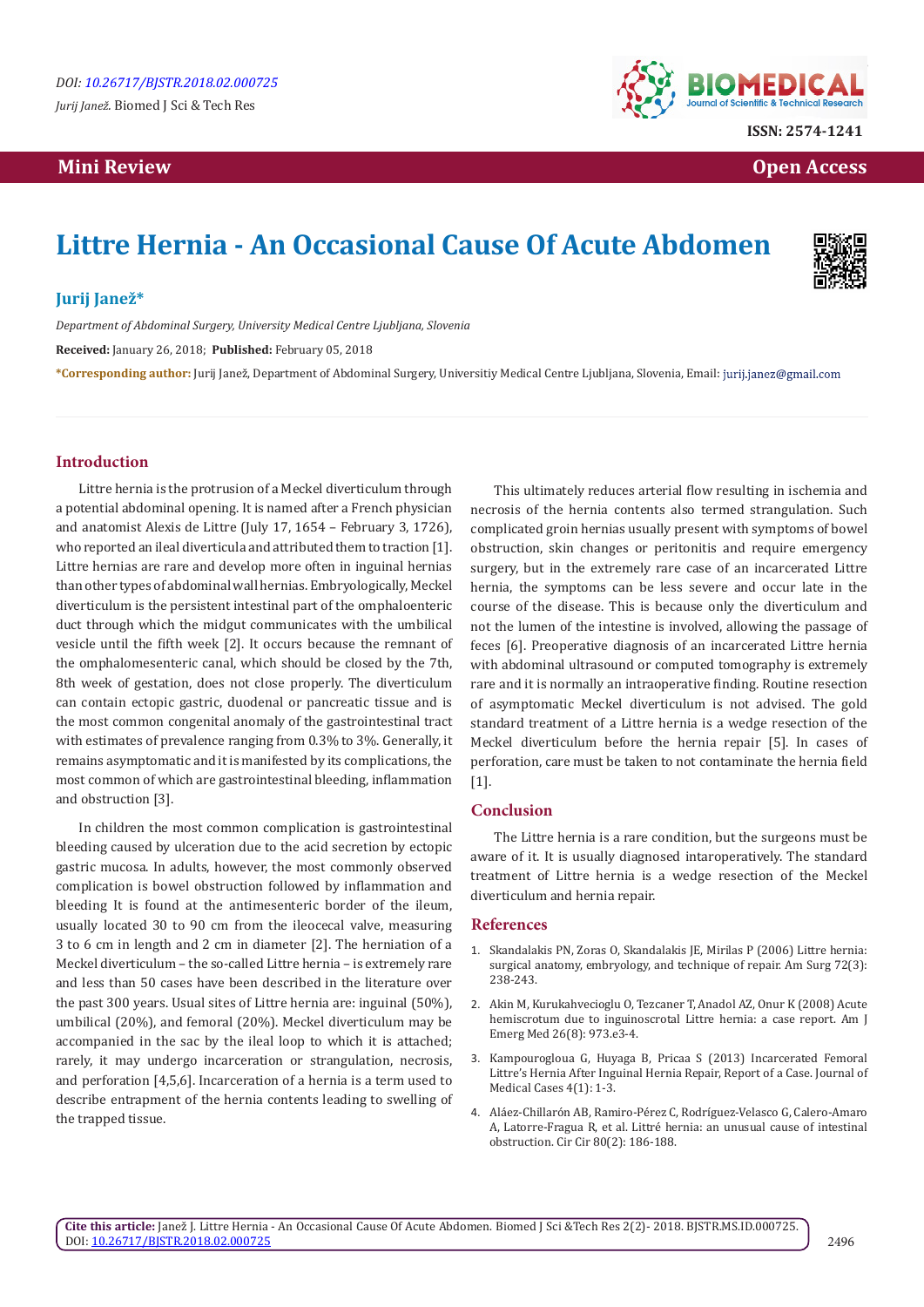# **Mini Review Open Access**



# **Littre Hernia - An Occasional Cause Of Acute Abdomen**



## **Jurij Janež\***

*Department of Abdominal Surgery, University Medical Centre Ljubljana, Slovenia*

**Received:** January 26, 2018; **Published:** February 05, 2018

**\*Corresponding author:** Jurij Janež, Department of Abdominal Surgery, Universitiy Medical Centre Ljubljana, Slovenia, Email:

## **Introduction**

Littre hernia is the protrusion of a Meckel diverticulum through a potential abdominal opening. It is named after a French physician and anatomist Alexis de Littre (July 17, 1654 – February 3, 1726), who reported an ileal diverticula and attributed them to traction [1]. Littre hernias are rare and develop more often in inguinal hernias than other types of abdominal wall hernias. Embryologically, Meckel diverticulum is the persistent intestinal part of the omphaloenteric duct through which the midgut communicates with the umbilical vesicle until the fifth week [2]. It occurs because the remnant of the omphalomesenteric canal, which should be closed by the 7th, 8th week of gestation, does not close properly. The diverticulum can contain ectopic gastric, duodenal or pancreatic tissue and is the most common congenital anomaly of the gastrointestinal tract with estimates of prevalence ranging from 0.3% to 3%. Generally, it remains asymptomatic and it is manifested by its complications, the most common of which are gastrointestinal bleeding, inflammation and obstruction [3].

In children the most common complication is gastrointestinal bleeding caused by ulceration due to the acid secretion by ectopic gastric mucosa. In adults, however, the most commonly observed complication is bowel obstruction followed by inflammation and bleeding It is found at the antimesenteric border of the ileum, usually located 30 to 90 cm from the ileocecal valve, measuring 3 to 6 cm in length and 2 cm in diameter [2]. The herniation of a Meckel diverticulum – the so-called Littre hernia – is extremely rare and less than 50 cases have been described in the literature over the past 300 years. Usual sites of Littre hernia are: inguinal (50%), umbilical (20%), and femoral (20%). Meckel diverticulum may be accompanied in the sac by the ileal loop to which it is attached; rarely, it may undergo incarceration or strangulation, necrosis, and perforation [4,5,6]. Incarceration of a hernia is a term used to describe entrapment of the hernia contents leading to swelling of the trapped tissue.

This ultimately reduces arterial flow resulting in ischemia and necrosis of the hernia contents also termed strangulation. Such complicated groin hernias usually present with symptoms of bowel obstruction, skin changes or peritonitis and require emergency surgery, but in the extremely rare case of an incarcerated Littre hernia, the symptoms can be less severe and occur late in the course of the disease. This is because only the diverticulum and not the lumen of the intestine is involved, allowing the passage of feces [6]. Preoperative diagnosis of an incarcerated Littre hernia with abdominal ultrasound or computed tomography is extremely rare and it is normally an intraoperative finding. Routine resection of asymptomatic Meckel diverticulum is not advised. The gold standard treatment of a Littre hernia is a wedge resection of the Meckel diverticulum before the hernia repair [5]. In cases of perforation, care must be taken to not contaminate the hernia field [1].

### **Conclusion**

The Littre hernia is a rare condition, but the surgeons must be aware of it. It is usually diagnosed intaroperatively. The standard treatment of Littre hernia is a wedge resection of the Meckel diverticulum and hernia repair.

#### **References**

- 1. [Skandalakis PN, Zoras O, Skandalakis JE, Mirilas P \(2006\) Littre hernia:](https://www.ncbi.nlm.nih.gov/pubmed/16553126) [surgical anatomy, embryology, and technique of repair. Am Surg 72\(3\):](https://www.ncbi.nlm.nih.gov/pubmed/16553126) [238-243.](https://www.ncbi.nlm.nih.gov/pubmed/16553126)
- 2. [Akin M, Kurukahvecioglu O, Tezcaner T, Anadol AZ, Onur K \(2008\) Acute](https://www.ncbi.nlm.nih.gov/pubmed/18926383) [hemiscrotum due to inguinoscrotal Littre hernia: a case report. Am J](https://www.ncbi.nlm.nih.gov/pubmed/18926383) [Emerg Med 26\(8\): 973.e3-4.](https://www.ncbi.nlm.nih.gov/pubmed/18926383)
- 3. [Kampourogloua G, Huyaga B, Pricaa S \(2013\) Incarcerated Femoral](http://www.journalmc.org/index.php/JMC/article/view/823/461) [Littre's Hernia After Inguinal Hernia Repair, Report of a Case. Journal of](http://www.journalmc.org/index.php/JMC/article/view/823/461) [Medical Cases 4\(1\): 1-3.](http://www.journalmc.org/index.php/JMC/article/view/823/461)
- 4. [Aláez-Chillarón AB, Ramiro-Pérez C, Rodríguez-Velasco G, Calero-Amaro](https://www.ncbi.nlm.nih.gov/pubmed/22644016) [A, Latorre-Fragua R, et al. Littré hernia: an unusual cause of intestinal](https://www.ncbi.nlm.nih.gov/pubmed/22644016) [obstruction. Cir Cir 80\(2\): 186-188.](https://www.ncbi.nlm.nih.gov/pubmed/22644016)